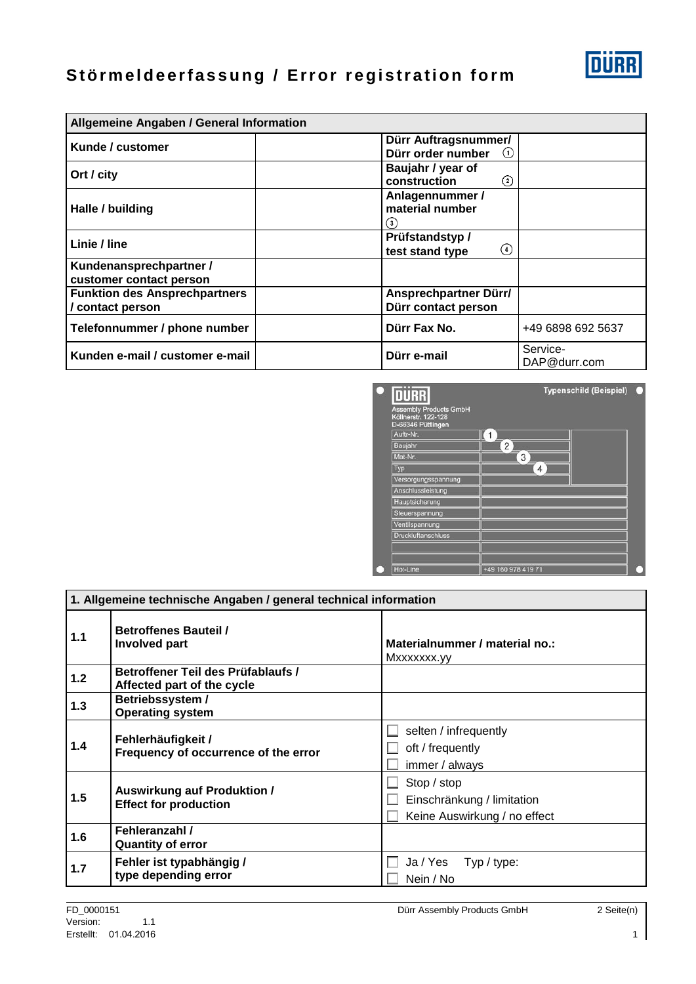## **Störmeldeerfassung / Error registration form**

| Allgemeine Angaben / General Information               |                                                  |                          |
|--------------------------------------------------------|--------------------------------------------------|--------------------------|
| Kunde / customer                                       | Dürr Auftragsnummer/<br>Dürr order number<br>(1) |                          |
| Ort / city                                             | Baujahr / year of<br>construction<br>$^{(2)}$    |                          |
| Halle / building                                       | Anlagennummer /<br>material number<br>(3)        |                          |
| Linie / line                                           | Prüfstandstyp/<br>(4)<br>test stand type         |                          |
| Kundenansprechpartner /<br>customer contact person     |                                                  |                          |
| <b>Funktion des Ansprechpartners</b><br>contact person | Ansprechpartner Dürr/<br>Dürr contact person     |                          |
| Telefonnummer / phone number                           | Dürr Fax No.                                     | +49 6898 692 5637        |
| Kunden e-mail / customer e-mail                        | Dürr e-mail                                      | Service-<br>DAP@durr.com |



| 1. Allgemeine technische Angaben / general technical information |                                                                    |                                                                           |
|------------------------------------------------------------------|--------------------------------------------------------------------|---------------------------------------------------------------------------|
| 1.1                                                              | <b>Betroffenes Bauteil /</b><br><b>Involved part</b>               | Materialnummer / material no.:<br>Mxxxxxxx.yy                             |
| 1.2                                                              | Betroffener Teil des Prüfablaufs /<br>Affected part of the cycle   |                                                                           |
| 1.3                                                              | Betriebssystem /<br><b>Operating system</b>                        |                                                                           |
| 1.4                                                              | Fehlerhäufigkeit /<br>Frequency of occurrence of the error         | selten / infrequently<br>oft / frequently<br>immer / always               |
| 1.5                                                              | <b>Auswirkung auf Produktion /</b><br><b>Effect for production</b> | Stop / stop<br>Einschränkung / limitation<br>Keine Auswirkung / no effect |
| 1.6                                                              | Fehleranzahl /<br><b>Quantity of error</b>                         |                                                                           |
| 1.7                                                              | Fehler ist typabhängig /<br>type depending error                   | Ja / Yes Typ / type:<br>Nein / No                                         |